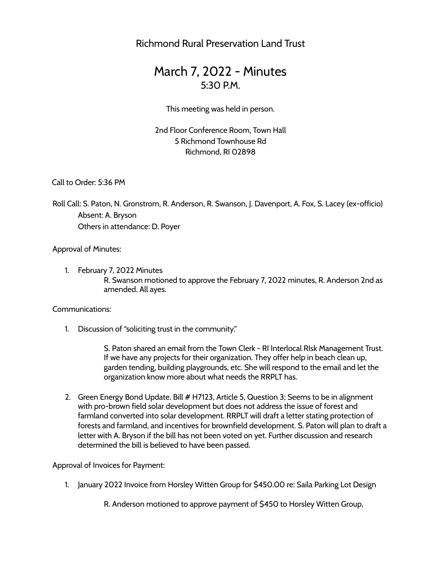Richmond Rural Preservation Land Trust

# March 7, 2022 - Minutes  $5:30 PM$

This meeting was held in person.

2nd Floor Conference Room, Town Hall 5 Richmond Townhouse Rd Richmond, RI 02898

Call to Order: 5:36 PM

Roll Call: S. Paton, N. Gronstrom, R. Anderson, R. Swanson, J. Davenport, A. Fox, S. Lacey (ex-officio) Absent: A. Bryson Others in attendance: D. Poyer

Approval of Minutes:

1. February 7, 2022 Minutes R. Swanson motioned to approve the February 7, 2022 minutes, R. Anderson 2nd as amended. All ayes.

Communications:

1. Discussion of "soliciting trust in the community."

S. Paton shared an email from the Town Clerk - RI Interlocal RIsk Management Trust. If we have any projects for their organization. They offer help in beach clean up, garden tending, building playgrounds, etc. She will respond to the email and let the organization know more about what needs the RRPLT has.

2. Green Energy Bond Update. Bill # H7123, Article 5, Question 3; Seems to be in alignment with pro-brown field solar development but does not address the issue of forest and farmland converted into solar development. RRPLT will draft a letter stating protection of forests and farmland, and incentives for brownfield development. S. Paton will plan to draft a letter with A. Bryson if the bill has not been voted on yet. Further discussion and research determined the bill is believed to have been passed.

Approval of Invoices for Payment:

1. January 2022 Invoice from Horsley Witten Group for \$450.00 re: Saila Parking Lot Design

R. Anderson motioned to approve payment of \$450 to Horsley Witten Group,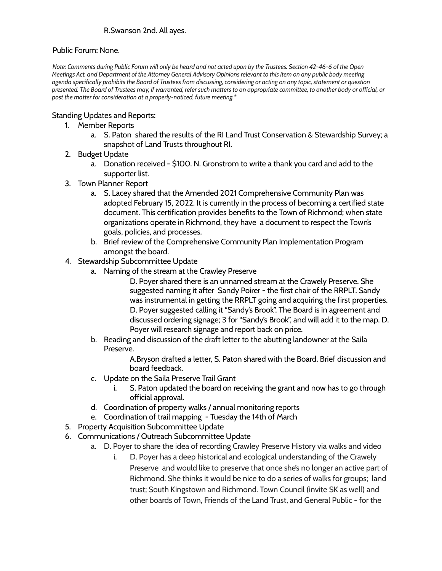### R.Swanson 2nd. All ayes.

#### Public Forum: None.

Note: Comments during Public Forum will only be heard and not acted upon by the Trustees. Section 42-46-6 of the Open Meetings Act, and Department of the Attorney General Advisory Opinions relevant to this item on any public body meeting agenda specifically prohibits the Board of Trustees from discussing, considering or acting on any topic, statement or question presented. The Board of Trustees may, if warranted, refer such matters to an appropriate committee, to another body or official, or *post the matter for consideration at a properly-noticed, future meeting.\**

#### Standing Updates and Reports:

- 1. Member Reports
	- a. S. Paton shared the results of the RI Land Trust Conservation & Stewardship Survey; a snapshot of Land Trusts throughout RI.
- 2. Budget Update
	- a. Donation received \$100. N. Gronstrom to write a thank you card and add to the supporter list.
- 3. Town Planner Report
	- a. S. Lacey shared that the Amended 2021 Comprehensive Community Plan was adopted February 15, 2022. It is currently in the process of becoming a certified state document. This certification provides benefits to the Town of Richmond; when state organizations operate in Richmond, they have a document to respect the Town's goals, policies, and processes.
	- b. Brief review of the Comprehensive Community Plan Implementation Program amongst the board.
- 4. Stewardship Subcommittee Update
	- a. Naming of the stream at the Crawley Preserve
		- D. Poyer shared there is an unnamed stream at the Crawely Preserve. She suggested naming it after Sandy Poirer - the first chair of the RRPLT. Sandy was instrumental in getting the RRPLT going and acquiring the first properties. D. Poyer suggested calling it "Sandy's Brook". The Board is in agreement and discussed ordering signage; 3 for "Sandy's Brook", and will add it to the map. D. Poyer will research signage and report back on price.
	- b. Reading and discussion of the draft letter to the abutting landowner at the Saila Preserve.

A.Bryson drafted a letter, S. Paton shared with the Board. Brief discussion and board feedback.

- c. Update on the Saila Preserve Trail Grant
	- S. Paton updated the board on receiving the grant and now has to go through official approval.
- d. Coordination of property walks / annual monitoring reports
- e. Coordination of trail mapping Tuesday the 14th of March
- 5. Property Acquisition Subcommittee Update
- 6. Communications / Outreach Subcommittee Update
	- a. D. Poyer to share the idea of recording Crawley Preserve History via walks and video
		- i. D. Poyer has a deep historical and ecological understanding of the Crawely Preserve and would like to preserve that once she's no longer an active part of Richmond. She thinks it would be nice to do a series of walks for groups; land trust; South Kingstown and Richmond. Town Council (invite SK as well) and other boards of Town, Friends of the Land Trust, and General Public - for the